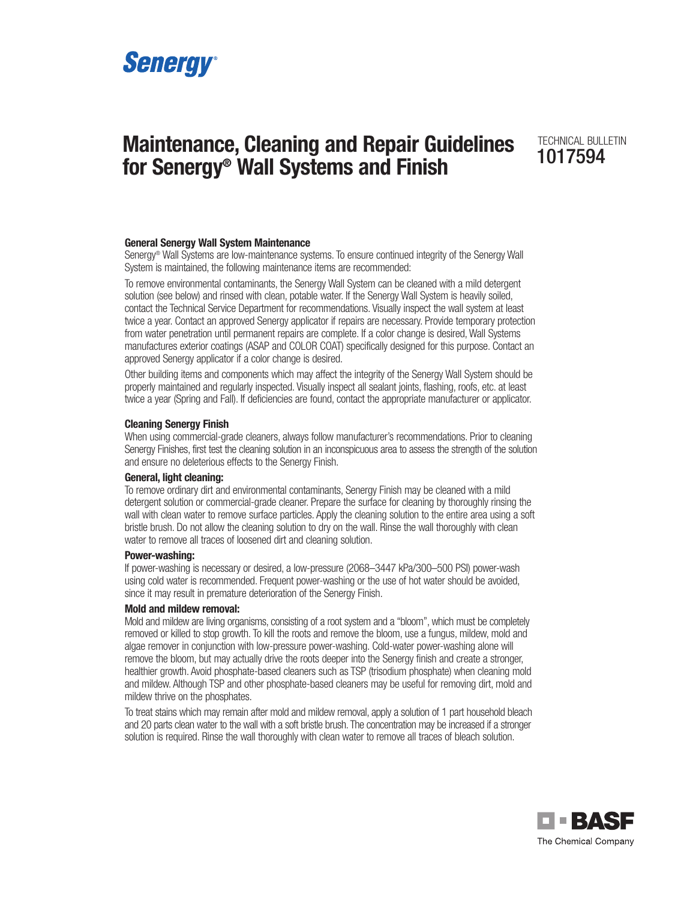

# **Maintenance, Cleaning and Repair Guidelines TECHNICAL BULLETIN for Senergy® Wall Systems and Finish**

#### **General Senergy Wall System Maintenance**

Senergy® Wall Systems are low-maintenance systems. To ensure continued integrity of the Senergy Wall System is maintained, the following maintenance items are recommended:

To remove environmental contaminants, the Senergy Wall System can be cleaned with a mild detergent solution (see below) and rinsed with clean, potable water. If the Senergy Wall System is heavily soiled, contact the Technical Service Department for recommendations. Visually inspect the wall system at least twice a year. Contact an approved Senergy applicator if repairs are necessary. Provide temporary protection from water penetration until permanent repairs are complete. If a color change is desired, Wall Systems manufactures exterior coatings (ASAP and COLOR COAT) specifically designed for this purpose. Contact an approved Senergy applicator if a color change is desired.

Other building items and components which may affect the integrity of the Senergy Wall System should be properly maintained and regularly inspected. Visually inspect all sealant joints, flashing, roofs, etc. at least twice a year (Spring and Fall). If deficiencies are found, contact the appropriate manufacturer or applicator.

#### **Cleaning Senergy Finish**

When using commercial-grade cleaners, always follow manufacturer's recommendations. Prior to cleaning Senergy Finishes, first test the cleaning solution in an inconspicuous area to assess the strength of the solution and ensure no deleterious effects to the Senergy Finish.

#### **General, light cleaning:**

To remove ordinary dirt and environmental contaminants, Senergy Finish may be cleaned with a mild detergent solution or commercial-grade cleaner. Prepare the surface for cleaning by thoroughly rinsing the wall with clean water to remove surface particles. Apply the cleaning solution to the entire area using a soft bristle brush. Do not allow the cleaning solution to dry on the wall. Rinse the wall thoroughly with clean water to remove all traces of loosened dirt and cleaning solution.

#### **Power-washing:**

If power-washing is necessary or desired, a low-pressure (2068–3447 kPa/300–500 PSI) power-wash using cold water is recommended. Frequent power-washing or the use of hot water should be avoided, since it may result in premature deterioration of the Senergy Finish.

#### **Mold and mildew removal:**

Mold and mildew are living organisms, consisting of a root system and a "bloom", which must be completely removed or killed to stop growth. To kill the roots and remove the bloom, use a fungus, mildew, mold and algae remover in conjunction with low-pressure power-washing. Cold-water power-washing alone will remove the bloom, but may actually drive the roots deeper into the Senergy finish and create a stronger, healthier growth. Avoid phosphate-based cleaners such as TSP (trisodium phosphate) when cleaning mold and mildew. Although TSP and other phosphate-based cleaners may be useful for removing dirt, mold and mildew thrive on the phosphates.

To treat stains which may remain after mold and mildew removal, apply a solution of 1 part household bleach and 20 parts clean water to the wall with a soft bristle brush. The concentration may be increased if a stronger solution is required. Rinse the wall thoroughly with clean water to remove all traces of bleach solution.

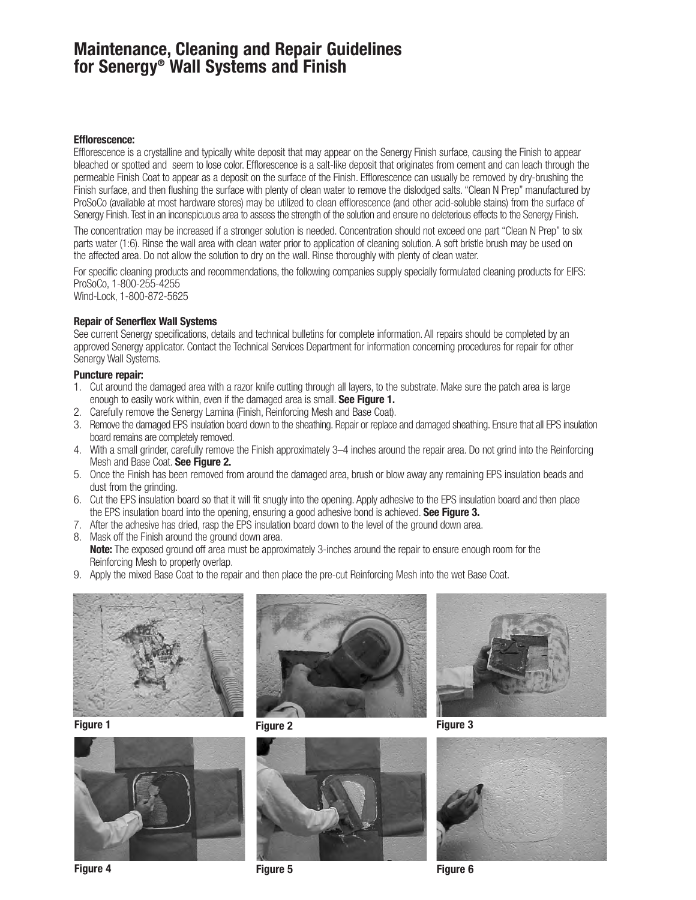## **Maintenance, Cleaning and Repair Guidelines for Senergy® Wall Systems and Finish**

#### **Efflorescence:**

Efflorescence is a crystalline and typically white deposit that may appear on the Senergy Finish surface, causing the Finish to appear bleached or spotted and seem to lose color. Efflorescence is a salt-like deposit that originates from cement and can leach through the permeable Finish Coat to appear as a deposit on the surface of the Finish. Efflorescence can usually be removed by dry-brushing the Finish surface, and then flushing the surface with plenty of clean water to remove the dislodged salts. "Clean N Prep" manufactured by ProSoCo (available at most hardware stores) may be utilized to clean efflorescence (and other acid-soluble stains) from the surface of Senergy Finish.Test in an inconspicuous area to assess the strength of the solution and ensure no deleterious effects to the Senergy Finish.

The concentration may be increased if a stronger solution is needed. Concentration should not exceed one part "Clean N Prep" to six parts water (1:6). Rinse the wall area with clean water prior to application of cleaning solution. A soft bristle brush may be used on the affected area. Do not allow the solution to dry on the wall. Rinse thoroughly with plenty of clean water.

For specific cleaning products and recommendations, the following companies supply specially formulated cleaning products for EIFS: ProSoCo, 1-800-255-4255

Wind-Lock, 1-800-872-5625

### **Repair of Senerflex Wall Systems**

See current Senergy specifications, details and technical bulletins for complete information. All repairs should be completed by an approved Senergy applicator. Contact the Technical Services Department for information concerning procedures for repair for other Senergy Wall Systems.

## **Puncture repair:**

- 1. Cut around the damaged area with a razor knife cutting through all layers, to the substrate. Make sure the patch area is large enough to easily work within, even if the damaged area is small. **See Figure 1.**
- 2. Carefully remove the Senergy Lamina (Finish, Reinforcing Mesh and Base Coat).
- 3. Remove the damaged EPS insulation board down to the sheathing. Repair or replace and damaged sheathing. Ensure that all EPS insulation board remains are completely removed.
- 4. With a small grinder, carefully remove the Finish approximately 3–4 inches around the repair area. Do not grind into the Reinforcing Mesh and Base Coat. **See Figure 2.**
- 5. Once the Finish has been removed from around the damaged area, brush or blow away any remaining EPS insulation beads and dust from the grinding.
- 6. Cut the EPS insulation board so that it will fit snugly into the opening. Apply adhesive to the EPS insulation board and then place the EPS insulation board into the opening, ensuring a good adhesive bond is achieved. **See Figure 3.**
- 7. After the adhesive has dried, rasp the EPS insulation board down to the level of the ground down area.
- 8. Mask off the Finish around the ground down area. **Note:** The exposed ground off area must be approximately 3-inches around the repair to ensure enough room for the Reinforcing Mesh to properly overlap.
- 9. Apply the mixed Base Coat to the repair and then place the pre-cut Reinforcing Mesh into the wet Base Coat.













**Figure 4 Figure 5 Figure 6**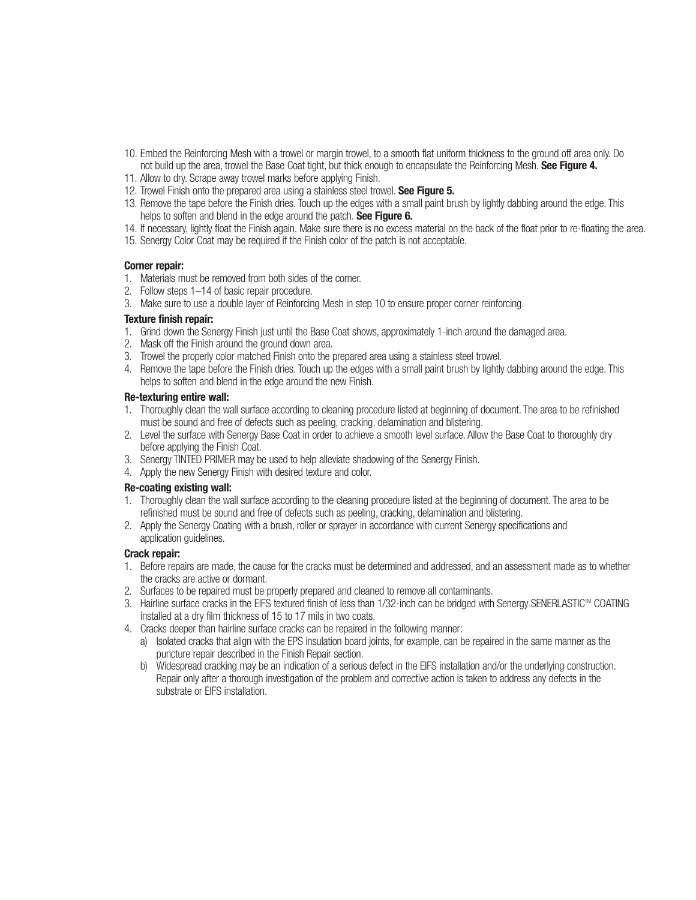- 10. Embed the Reinforcing Mesh with a trowel or margin trowel, to a smooth flat uniform thickness to the ground off area only. Do not build up the area, trowel the Base Coat tight, but thick enough to encapsulate the Reinforcing Mesh. **See Figure 4.**
- 11. Allow to dry. Scrape away trowel marks before applying Finish.
- 12. Trowel Finish onto the prepared area using a stainless steel trowel. **See Figure 5.**
- 13. Remove the tape before the Finish dries. Touch up the edges with a small paint brush by lightly dabbing around the edge. This helps to soften and blend in the edge around the patch. **See Figure 6.**
- 14. If necessary, lightly float the Finish again. Make sure there is no excess material on the back of the float prior to re-floating the area.
- 15. Senergy Color Coat may be required if the Finish color of the patch is not acceptable.

#### **Corner repair:**

- 1. Materials must be removed from both sides of the corner.
- 2. Follow steps 1–14 of basic repair procedure.
- 3. Make sure to use a double layer of Reinforcing Mesh in step 10 to ensure proper corner reinforcing.

#### **Texture finish repair:**

- 1. Grind down the Senergy Finish just until the Base Coat shows, approximately 1-inch around the damaged area.
- 2. Mask off the Finish around the ground down area.
- 3. Trowel the properly color matched Finish onto the prepared area using a stainless steel trowel.
- 4. Remove the tape before the Finish dries. Touch up the edges with a small paint brush by lightly dabbing around the edge. This helps to soften and blend in the edge around the new Finish.

#### **Re-texturing entire wall:**

- 1. Thoroughly clean the wall surface according to cleaning procedure listed at beginning of document. The area to be refinished must be sound and free of defects such as peeling, cracking, delamination and blistering.
- 2. Level the surface with Senergy Base Coat in order to achieve a smooth level surface. Allow the Base Coat to thoroughly dry before applying the Finish Coat.
- 3. Senergy TINTED PRIMER may be used to help alleviate shadowing of the Senergy Finish.
- 4. Apply the new Senergy Finish with desired texture and color.

#### **Re-coating existing wall:**

- 1. Thoroughly clean the wall surface according to the cleaning procedure listed at the beginning of document. The area to be refinished must be sound and free of defects such as peeling, cracking, delamination and blistering.
- 2. Apply the Senergy Coating with a brush, roller or sprayer in accordance with current Senergy specifications and application guidelines.

### **Crack repair:**

- 1. Before repairs are made, the cause for the cracks must be determined and addressed, and an assessment made as to whether the cracks are active or dormant.
- 2. Surfaces to be repaired must be properly prepared and cleaned to remove all contaminants.
- 3. Hairline surface cracks in the EIFS textured finish of less than 1/32-inch can be bridged with Senergy SENERLASTICTM COATING installed at a dry film thickness of 15 to 17 mils in two coats.
- 4. Cracks deeper than hairline surface cracks can be repaired in the following manner:
	- a) Isolated cracks that align with the EPS insulation board joints, for example, can be repaired in the same manner as the puncture repair described in the Finish Repair section.
	- b) Widespread cracking may be an indication of a serious defect in the EIFS installation and/or the underlying construction. Repair only after a thorough investigation of the problem and corrective action is taken to address any defects in the substrate or EIFS installation.